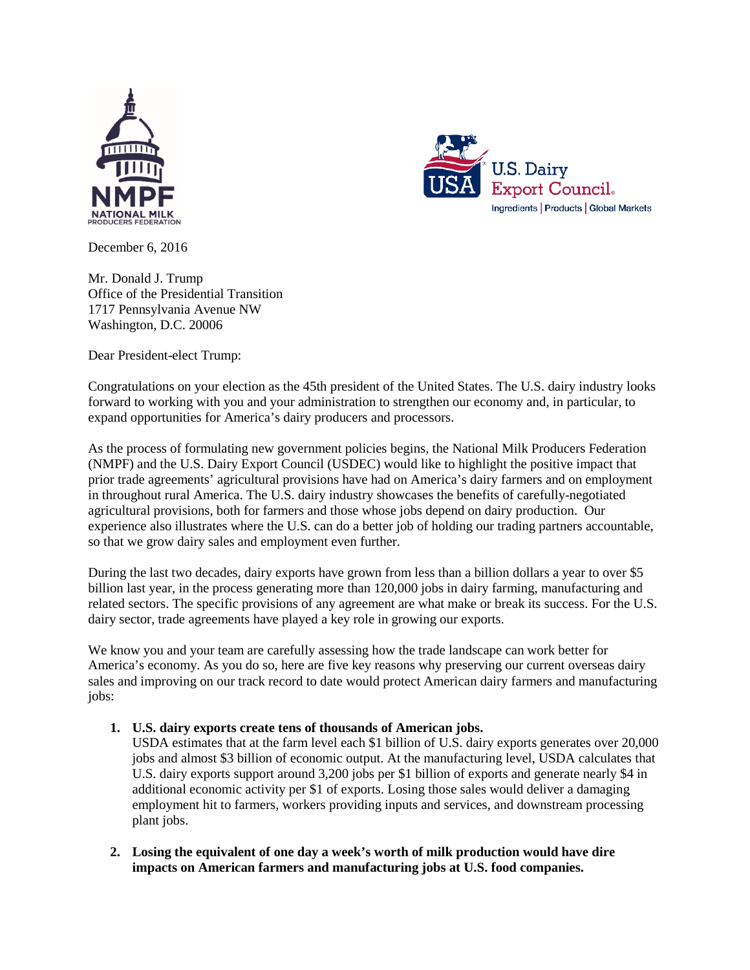



December 6, 2016

Mr. Donald J. Trump Office of the Presidential Transition 1717 Pennsylvania Avenue NW Washington, D.C. 20006

Dear President-elect Trump:

Congratulations on your election as the 45th president of the United States. The U.S. dairy industry looks forward to working with you and your administration to strengthen our economy and, in particular, to expand opportunities for America's dairy producers and processors.

As the process of formulating new government policies begins, the National Milk Producers Federation (NMPF) and the U.S. Dairy Export Council (USDEC) would like to highlight the positive impact that prior trade agreements' agricultural provisions have had on America's dairy farmers and on employment in throughout rural America. The U.S. dairy industry showcases the benefits of carefully-negotiated agricultural provisions, both for farmers and those whose jobs depend on dairy production. Our experience also illustrates where the U.S. can do a better job of holding our trading partners accountable, so that we grow dairy sales and employment even further.

During the last two decades, dairy exports have grown from less than a billion dollars a year to over \$5 billion last year, in the process generating more than 120,000 jobs in dairy farming, manufacturing and related sectors. The specific provisions of any agreement are what make or break its success. For the U.S. dairy sector, trade agreements have played a key role in growing our exports.

We know you and your team are carefully assessing how the trade landscape can work better for America's economy. As you do so, here are five key reasons why preserving our current overseas dairy sales and improving on our track record to date would protect American dairy farmers and manufacturing jobs:

## **1. U.S. dairy exports create tens of thousands of American jobs.**

USDA estimates that at the farm level each \$1 billion of U.S. dairy exports generates over 20,000 jobs and almost \$3 billion of economic output. At the manufacturing level, USDA calculates that U.S. dairy exports support around 3,200 jobs per \$1 billion of exports and generate nearly \$4 in additional economic activity per \$1 of exports. Losing those sales would deliver a damaging employment hit to farmers, workers providing inputs and services, and downstream processing plant jobs.

**2. Losing the equivalent of one day a week's worth of milk production would have dire impacts on American farmers and manufacturing jobs at U.S. food companies.**